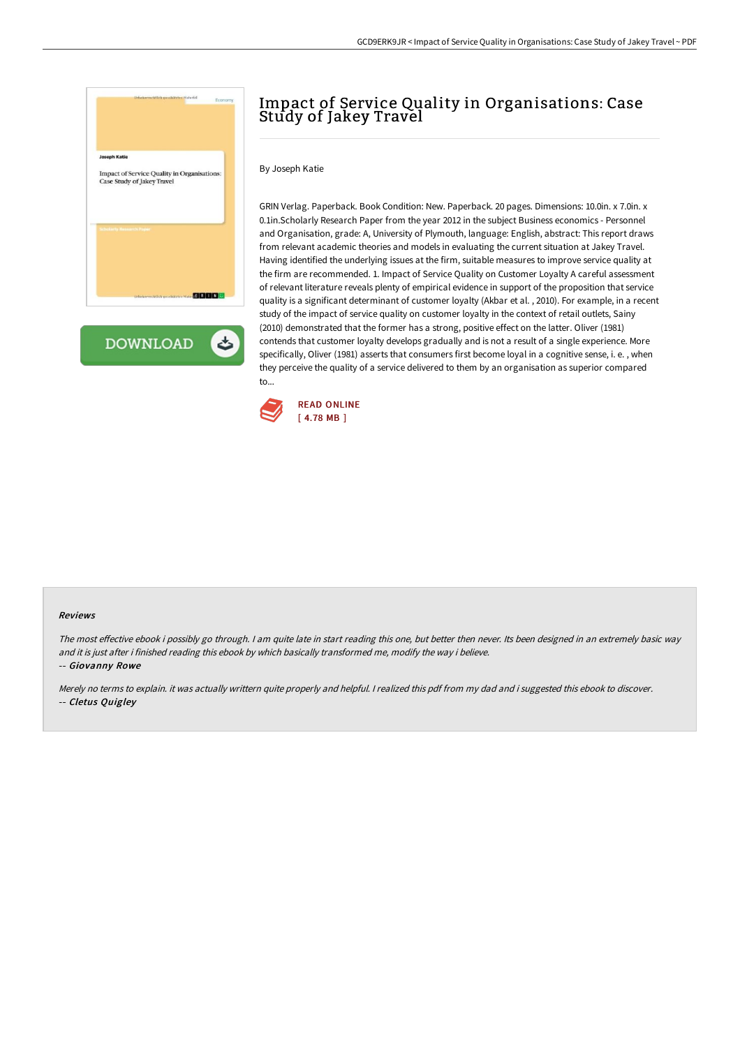



# Impact of Service Quality in Organisations: Case Study of Jakey Travel

By Joseph Katie

GRIN Verlag. Paperback. Book Condition: New. Paperback. 20 pages. Dimensions: 10.0in. x 7.0in. x 0.1in.Scholarly Research Paper from the year 2012 in the subject Business economics - Personnel and Organisation, grade: A, University of Plymouth, language: English, abstract: This report draws from relevant academic theories and models in evaluating the current situation at Jakey Travel. Having identified the underlying issues at the firm, suitable measures to improve service quality at the firm are recommended. 1. Impact of Service Quality on Customer Loyalty A careful assessment of relevant literature reveals plenty of empirical evidence in support of the proposition that service quality is a significant determinant of customer loyalty (Akbar et al. , 2010). For example, in a recent study of the impact of service quality on customer loyalty in the context of retail outlets, Sainy (2010) demonstrated that the former has a strong, positive effect on the latter. Oliver (1981) contends that customer loyalty develops gradually and is not a result of a single experience. More specifically, Oliver (1981) asserts that consumers first become loyal in a cognitive sense, i. e. , when they perceive the quality of a service delivered to them by an organisation as superior compared to...



#### Reviews

The most effective ebook i possibly go through. I am quite late in start reading this one, but better then never. Its been designed in an extremely basic way and it is just after i finished reading this ebook by which basically transformed me, modify the way i believe.

-- Giovanny Rowe

Merely no terms to explain. it was actually writtern quite properly and helpful. <sup>I</sup> realized this pdf from my dad and i suggested this ebook to discover. -- Cletus Quigley